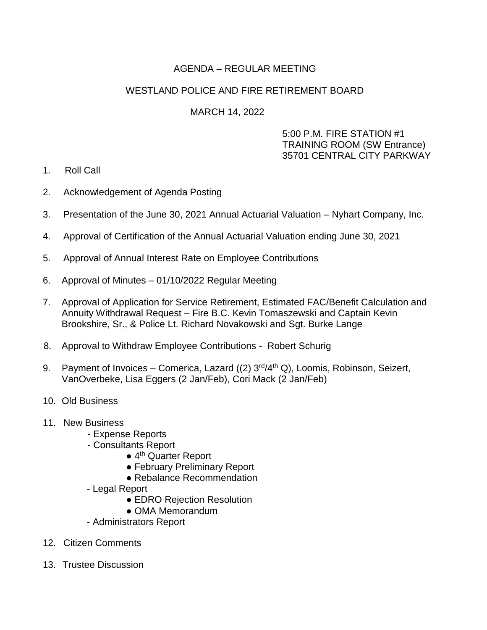# AGENDA – REGULAR MEETING

## WESTLAND POLICE AND FIRE RETIREMENT BOARD

### MARCH 14, 2022

### 5:00 P.M. FIRE STATION #1 TRAINING ROOM (SW Entrance) 35701 CENTRAL CITY PARKWAY

- 1. Roll Call
- 2. Acknowledgement of Agenda Posting
- 3. Presentation of the June 30, 2021 Annual Actuarial Valuation Nyhart Company, Inc.
- 4. Approval of Certification of the Annual Actuarial Valuation ending June 30, 2021
- 5. Approval of Annual Interest Rate on Employee Contributions
- 6. Approval of Minutes 01/10/2022 Regular Meeting
- 7. Approval of Application for Service Retirement, Estimated FAC/Benefit Calculation and Annuity Withdrawal Request – Fire B.C. Kevin Tomaszewski and Captain Kevin Brookshire, Sr., & Police Lt. Richard Novakowski and Sgt. Burke Lange
- 8. Approval to Withdraw Employee Contributions Robert Schurig
- 9. Payment of Invoices Comerica, Lazard  $((2)$   $3<sup>rd</sup>/4<sup>th</sup> Q)$ , Loomis, Robinson, Seizert, VanOverbeke, Lisa Eggers (2 Jan/Feb), Cori Mack (2 Jan/Feb)
- 10. Old Business
- 11. New Business
	- Expense Reports
	- Consultants Report
		- 4<sup>th</sup> Quarter Report
		- February Preliminary Report
		- Rebalance Recommendation
	- Legal Report
		- EDRO Rejection Resolution
		- OMA Memorandum
	- Administrators Report
- 12. Citizen Comments
- 13. Trustee Discussion